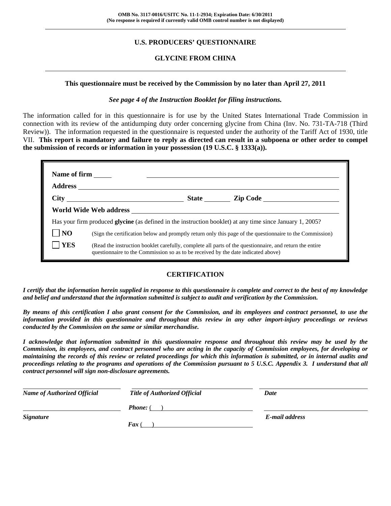## **U.S. PRODUCERS' QUESTIONNAIRE**

## **GLYCINE FROM CHINA**

#### **This questionnaire must be received by the Commission by no later than April 27, 2011**

#### *See page 4 of the Instruction Booklet for filing instructions.*

The information called for in this questionnaire is for use by the United States International Trade Commission in connection with its review of the antidumping duty order concerning glycine from China (Inv. No. 731-TA-718 (Third Review)). The information requested in the questionnaire is requested under the authority of the Tariff Act of 1930, title VII. **This report is mandatory and failure to reply as directed can result in a subpoena or other order to compel the submission of records or information in your possession (19 U.S.C. § 1333(a)).**

| <b>Name of firm</b> |                                                                                   |                                                                                                                  |
|---------------------|-----------------------------------------------------------------------------------|------------------------------------------------------------------------------------------------------------------|
|                     |                                                                                   |                                                                                                                  |
|                     |                                                                                   | State <u>Lip Code</u>                                                                                            |
|                     |                                                                                   |                                                                                                                  |
|                     |                                                                                   | Has your firm produced <b>glycine</b> (as defined in the instruction booklet) at any time since January 1, 2005? |
| N <sub>O</sub>      |                                                                                   | (Sign the certification below and promptly return only this page of the questionnaire to the Commission)         |
| <b>YES</b>          | questionnaire to the Commission so as to be received by the date indicated above) | (Read the instruction booklet carefully, complete all parts of the questionnaire, and return the entire          |

### **CERTIFICATION**

*I certify that the information herein supplied in response to this questionnaire is complete and correct to the best of my knowledge and belief and understand that the information submitted is subject to audit and verification by the Commission.* 

*By means of this certification I also grant consent for the Commission, and its employees and contract personnel, to use the information provided in this questionnaire and throughout this review in any other import-injury proceedings or reviews conducted by the Commission on the same or similar merchandise.* 

*I acknowledge that information submitted in this questionnaire response and throughout this review may be used by the Commission, its employees, and contract personnel who are acting in the capacity of Commission employees, for developing or maintaining the records of this review or related proceedings for which this information is submitted, or in internal audits and proceedings relating to the programs and operations of the Commission pursuant to 5 U.S.C. Appendix 3. I understand that all contract personnel will sign non-disclosure agreements.* 

| <b>Name of Authorized Official</b> | <b>Title of Authorized Official</b> | Date           |  |
|------------------------------------|-------------------------------------|----------------|--|
|                                    | <b>Phone:</b> (                     |                |  |
| <i><b>Signature</b></i>            |                                     | E-mail address |  |
|                                    | $\boldsymbol{F}$ ax (               |                |  |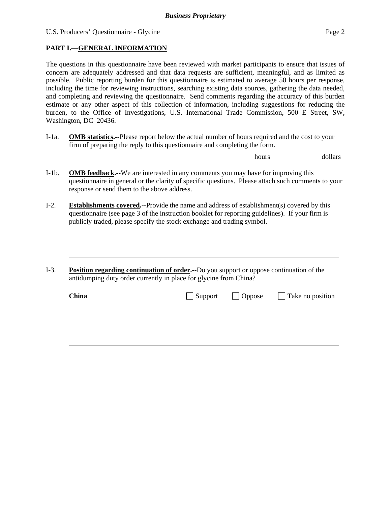l

## **PART I.—GENERAL INFORMATION**

The questions in this questionnaire have been reviewed with market participants to ensure that issues of concern are adequately addressed and that data requests are sufficient, meaningful, and as limited as possible. Public reporting burden for this questionnaire is estimated to average 50 hours per response, including the time for reviewing instructions, searching existing data sources, gathering the data needed, and completing and reviewing the questionnaire. Send comments regarding the accuracy of this burden estimate or any other aspect of this collection of information, including suggestions for reducing the burden, to the Office of Investigations, U.S. International Trade Commission, 500 E Street, SW, Washington, DC 20436.

I-1a. **OMB statistics.--**Please report below the actual number of hours required and the cost to your firm of preparing the reply to this questionnaire and completing the form.

hours dollars

- I-1b. **OMB feedback.--**We are interested in any comments you may have for improving this questionnaire in general or the clarity of specific questions. Please attach such comments to your response or send them to the above address.
- I-2. **Establishments covered.--**Provide the name and address of establishment(s) covered by this questionnaire (see page 3 of the instruction booklet for reporting guidelines). If your firm is publicly traded, please specify the stock exchange and trading symbol.
- I-3. **Position regarding continuation of order.--**Do you support or oppose continuation of the antidumping duty order currently in place for glycine from China?

| <b>China</b> |  | $\Box$ Support $\Box$ Oppose $\Box$ Take no position |
|--------------|--|------------------------------------------------------|
|              |  |                                                      |
|              |  |                                                      |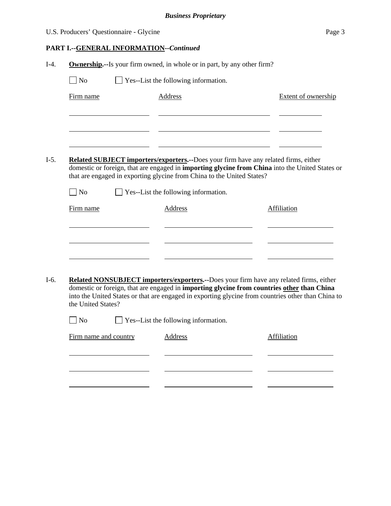|        | U.S. Producers' Questionnaire - Glycine                                         |                                                                                                                                                                                                      | Page 3                     |  |  |  |  |  |
|--------|---------------------------------------------------------------------------------|------------------------------------------------------------------------------------------------------------------------------------------------------------------------------------------------------|----------------------------|--|--|--|--|--|
|        | <b>PART I.--GENERAL INFORMATION--Continued</b>                                  |                                                                                                                                                                                                      |                            |  |  |  |  |  |
| $I-4.$ | <b>Ownership.</b> --Is your firm owned, in whole or in part, by any other firm? |                                                                                                                                                                                                      |                            |  |  |  |  |  |
|        | Yes--List the following information.<br>$\overline{\rm N}$                      |                                                                                                                                                                                                      |                            |  |  |  |  |  |
|        | Firm name                                                                       | Address                                                                                                                                                                                              | <b>Extent of ownership</b> |  |  |  |  |  |
|        |                                                                                 |                                                                                                                                                                                                      |                            |  |  |  |  |  |
|        |                                                                                 |                                                                                                                                                                                                      |                            |  |  |  |  |  |
|        |                                                                                 |                                                                                                                                                                                                      |                            |  |  |  |  |  |
| $I-5.$ |                                                                                 | <b>Related SUBJECT importers/exporters.--Does your firm have any related firms, either</b><br>domestic or foreign, that are engaged in <b>importing glycine from China</b> into the United States or |                            |  |  |  |  |  |
|        |                                                                                 | that are engaged in exporting glycine from China to the United States?                                                                                                                               |                            |  |  |  |  |  |
|        | N <sub>o</sub>                                                                  | Yes--List the following information.                                                                                                                                                                 |                            |  |  |  |  |  |
|        | Firm name                                                                       | Address                                                                                                                                                                                              | <b>Affiliation</b>         |  |  |  |  |  |
|        |                                                                                 |                                                                                                                                                                                                      |                            |  |  |  |  |  |
|        |                                                                                 |                                                                                                                                                                                                      |                            |  |  |  |  |  |
|        |                                                                                 |                                                                                                                                                                                                      |                            |  |  |  |  |  |
| $I-6.$ |                                                                                 | <b>Related NONSUBJECT importers/exporters.</b> --Does your firm have any related firms, either                                                                                                       |                            |  |  |  |  |  |
|        | the United States?                                                              | domestic or foreign, that are engaged in importing glycine from countries other than China<br>into the United States or that are engaged in exporting glycine from countries other than China to     |                            |  |  |  |  |  |
|        | No                                                                              | Yes--List the following information.                                                                                                                                                                 |                            |  |  |  |  |  |
|        | Firm name and country                                                           | Address                                                                                                                                                                                              | Affiliation                |  |  |  |  |  |

<u> 1989 - Johann Barnett, fransk politiker (d. 1989)</u> J.  $\overline{\phantom{a}}$ 

 $\sim$ 

<u> 1989 - Johann Barbara, martin a</u>

l

 $\sim$ 

l

l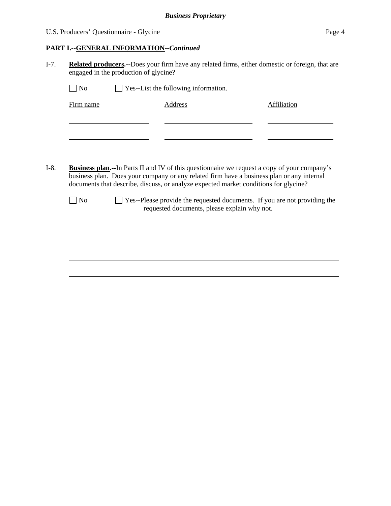## U.S. Producers' Questionnaire - Glycine Page 4

## **PART I.--GENERAL INFORMATION***--Continued*

I-7. **Related producers.--**Does your firm have any related firms, either domestic or foreign, that are engaged in the production of glycine?

| Firm name      | <b>Address</b>                                                                                                                                                                                                                                                                    | <b>Affiliation</b> |
|----------------|-----------------------------------------------------------------------------------------------------------------------------------------------------------------------------------------------------------------------------------------------------------------------------------|--------------------|
|                |                                                                                                                                                                                                                                                                                   |                    |
|                |                                                                                                                                                                                                                                                                                   |                    |
|                |                                                                                                                                                                                                                                                                                   |                    |
|                |                                                                                                                                                                                                                                                                                   |                    |
|                |                                                                                                                                                                                                                                                                                   |                    |
|                |                                                                                                                                                                                                                                                                                   |                    |
|                | Business plan.--In Parts II and IV of this questionnaire we request a copy of your company's<br>business plan. Does your company or any related firm have a business plan or any internal<br>documents that describe, discuss, or analyze expected market conditions for glycine? |                    |
| N <sub>0</sub> | $\Box$ Yes--Please provide the requested documents. If you are not providing the<br>requested documents, please explain why not.                                                                                                                                                  |                    |
|                |                                                                                                                                                                                                                                                                                   |                    |
|                |                                                                                                                                                                                                                                                                                   |                    |
|                |                                                                                                                                                                                                                                                                                   |                    |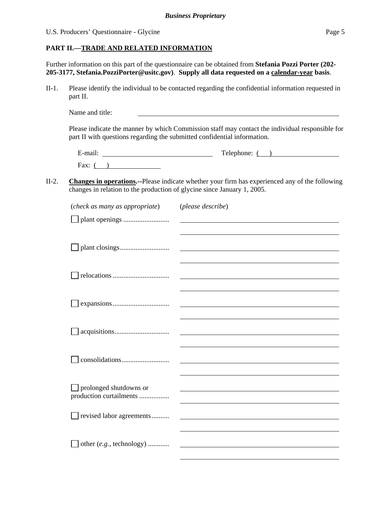U.S. Producers' Questionnaire - Glycine Page 5

#### **PART II.—TRADE AND RELATED INFORMATION**

Further information on this part of the questionnaire can be obtained from **Stefania Pozzi Porter (202- 205-3177, Stefania.PozziPorter@usitc.gov)**. **Supply all data requested on a calendar-year basis**.

II-1. Please identify the individual to be contacted regarding the confidential information requested in part II.

Name and title:

Please indicate the manner by which Commission staff may contact the individual responsible for part II with questions regarding the submitted confidential information.

| $\cdot$ $\cdot$          | $\mathbf{r}$ |
|--------------------------|--------------|
| $\overline{\phantom{0}}$ | Telephone:   |
| ±-mail:                  |              |
| Fax:                     |              |

II-2. **Changes in operations.--**Please indicate whether your firm has experienced any of the following changes in relation to the production of glycine since January 1, 2005.

| (check as many as appropriate)                    | (please describe)                                                                                                                                                                                                             |
|---------------------------------------------------|-------------------------------------------------------------------------------------------------------------------------------------------------------------------------------------------------------------------------------|
|                                                   |                                                                                                                                                                                                                               |
|                                                   |                                                                                                                                                                                                                               |
|                                                   |                                                                                                                                                                                                                               |
|                                                   |                                                                                                                                                                                                                               |
|                                                   |                                                                                                                                                                                                                               |
|                                                   |                                                                                                                                                                                                                               |
|                                                   |                                                                                                                                                                                                                               |
|                                                   |                                                                                                                                                                                                                               |
|                                                   | the control of the control of the control of the control of the control of the control of the control of the control of the control of the control of the control of the control of the control of the control of the control |
|                                                   |                                                                                                                                                                                                                               |
|                                                   |                                                                                                                                                                                                                               |
|                                                   |                                                                                                                                                                                                                               |
|                                                   |                                                                                                                                                                                                                               |
|                                                   |                                                                                                                                                                                                                               |
|                                                   |                                                                                                                                                                                                                               |
| prolonged shutdowns or<br>production curtailments |                                                                                                                                                                                                                               |
|                                                   |                                                                                                                                                                                                                               |
| revised labor agreements                          |                                                                                                                                                                                                                               |
|                                                   |                                                                                                                                                                                                                               |
|                                                   |                                                                                                                                                                                                                               |
| other (e.g., technology)                          |                                                                                                                                                                                                                               |
|                                                   |                                                                                                                                                                                                                               |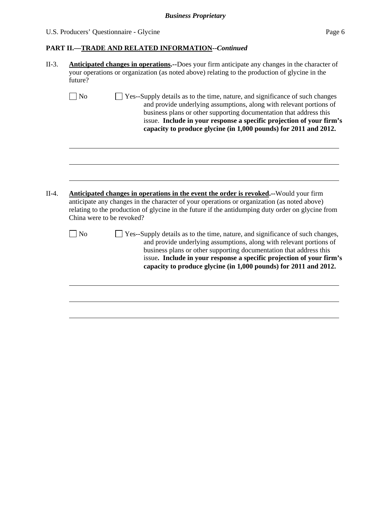# U.S. Producers' Questionnaire - Glycine Page 6

# **PART II.—TRADE AND RELATED INFORMATION--***Continued*

|         | Anticipated changes in operations.--Does your firm anticipate any changes in the character of<br>your operations or organization (as noted above) relating to the production of glycine in the<br>future? |                                                                                                                                                                                                                                                                                                                                                                       |  |  |
|---------|-----------------------------------------------------------------------------------------------------------------------------------------------------------------------------------------------------------|-----------------------------------------------------------------------------------------------------------------------------------------------------------------------------------------------------------------------------------------------------------------------------------------------------------------------------------------------------------------------|--|--|
|         | $ $ No                                                                                                                                                                                                    | Yes--Supply details as to the time, nature, and significance of such changes<br>and provide underlying assumptions, along with relevant portions of<br>business plans or other supporting documentation that address this<br>issue. Include in your response a specific projection of your firm's<br>capacity to produce glycine (in 1,000 pounds) for 2011 and 2012. |  |  |
| $II-4.$ | China were to be revoked?                                                                                                                                                                                 | Anticipated changes in operations in the event the order is revoked.--Would your firm<br>anticipate any changes in the character of your operations or organization (as noted above)<br>relating to the production of glycine in the future if the antidumping duty order on glycine from                                                                             |  |  |
|         | $\log$                                                                                                                                                                                                    | Yes--Supply details as to the time, nature, and significance of such changes,                                                                                                                                                                                                                                                                                         |  |  |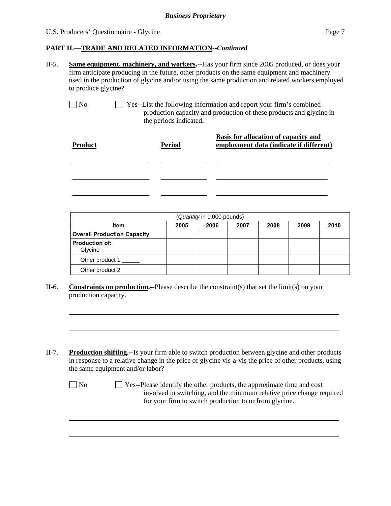#### U.S. Producers' Questionnaire - Glycine Page 7

### **PART II.—TRADE AND RELATED INFORMATION--***Continued*

- II-5. **Same equipment, machinery, and workers.--**Has your firm since 2005 produced, or does your firm anticipate producing in the future, other products on the same equipment and machinery used in the production of glycine and/or using the same production and related workers employed to produce glycine?
	-

l

l

No Ses--List the following information and report your firm's combined production capacity and production of these products and glycine in the periods indicated**.**

| <b>Product</b> | <b>Period</b> | <b>Basis for allocation of capacity and</b><br>employment data (indicate if different) |
|----------------|---------------|----------------------------------------------------------------------------------------|
|                |               |                                                                                        |
|                |               |                                                                                        |
|                |               |                                                                                        |

| (Quantity in 1,000 pounds)         |      |      |      |      |      |      |  |
|------------------------------------|------|------|------|------|------|------|--|
| <b>Item</b>                        | 2005 | 2006 | 2007 | 2008 | 2009 | 2010 |  |
| <b>Overall Production Capacity</b> |      |      |      |      |      |      |  |
| <b>Production of:</b><br>Glycine   |      |      |      |      |      |      |  |
| Other product 1                    |      |      |      |      |      |      |  |
| Other product 2                    |      |      |      |      |      |      |  |

- II-6. **Constraints on production.--**Please describe the constraint(s) that set the limit(s) on your production capacity.
- II-7. **Production shifting.--**Is your firm able to switch production between glycine and other products in response to a relative change in the price of glycine vis-a-vis the price of other products, using the same equipment and/or labor?

| N <sub>o</sub> | $\Box$ Yes--Please identify the other products, the approximate time and cost |
|----------------|-------------------------------------------------------------------------------|
|                | involved in switching, and the minimum relative price change required         |
|                | for your firm to switch production to or from glycine.                        |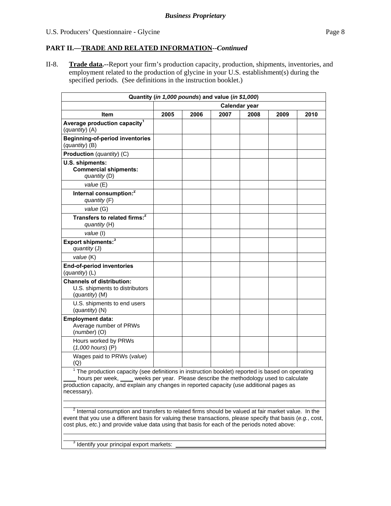## **PART II.—TRADE AND RELATED INFORMATION--***Continued*

II-8. **Trade data.--**Report your firm's production capacity, production, shipments, inventories, and employment related to the production of glycine in your U.S. establishment(s) during the specified periods. (See definitions in the instruction booklet.)

| Quantity (in 1,000 pounds) and value (in \$1,000)                                                   |               |      |      |      |      |      |
|-----------------------------------------------------------------------------------------------------|---------------|------|------|------|------|------|
|                                                                                                     | Calendar year |      |      |      |      |      |
| <b>Item</b>                                                                                         | 2005          | 2006 | 2007 | 2008 | 2009 | 2010 |
| Average production capacity <sup>1</sup><br>$(quantity)$ (A)                                        |               |      |      |      |      |      |
| <b>Beginning-of-period inventories</b><br>(quantity) (B)                                            |               |      |      |      |      |      |
| Production (quantity) (C)                                                                           |               |      |      |      |      |      |
| U.S. shipments:<br><b>Commercial shipments:</b><br>quantity (D)                                     |               |      |      |      |      |      |
| value (E)                                                                                           |               |      |      |      |      |      |
| Internal consumption: <sup>2</sup><br>quantity (F)                                                  |               |      |      |      |      |      |
| value (G)                                                                                           |               |      |      |      |      |      |
| Transfers to related firms: <sup>2</sup><br>quantity (H)                                            |               |      |      |      |      |      |
| value (I)                                                                                           |               |      |      |      |      |      |
| Export shipments: <sup>3</sup><br>quantity (J)                                                      |               |      |      |      |      |      |
| value (K)                                                                                           |               |      |      |      |      |      |
| End-of-period inventories<br>(quantity) (L)                                                         |               |      |      |      |      |      |
| <b>Channels of distribution:</b><br>U.S. shipments to distributors<br>(quantity) (M)                |               |      |      |      |      |      |
| U.S. shipments to end users<br>(quantity) (N)                                                       |               |      |      |      |      |      |
| <b>Employment data:</b><br>Average number of PRWs<br>$(number)$ (O)                                 |               |      |      |      |      |      |
| Hours worked by PRWs<br>$(1,000$ hours) $(P)$                                                       |               |      |      |      |      |      |
| Wages paid to PRWs (value)<br>(Q)                                                                   |               |      |      |      |      |      |
| $1$ The production capacity (see definitions in instruction booklet) reported is based on operating |               |      |      |      |      |      |

ty (see definitions in instruction booklet) r hours per week, weeks per year. Please describe the methodology used to calculate production capacity, and explain any changes in reported capacity (use additional pages as necessary).

 $^2$  Internal consumption and transfers to related firms should be valued at fair market value. In the event that you use a different basis for valuing these transactions, please specify that basis (*e.g.*, cost, cost plus, *etc.*) and provide value data using that basis for each of the periods noted above:

 $3$  Identify your principal export markets:

 $\overline{a}$ 

 $\overline{a}$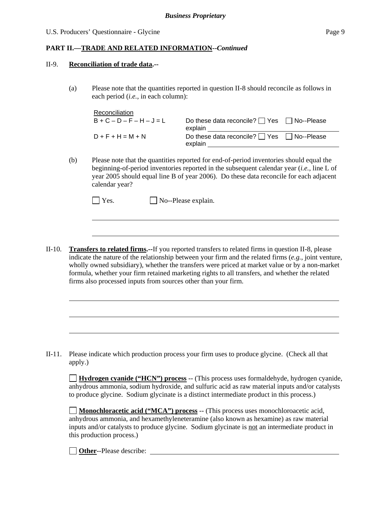#### U.S. Producers' Questionnaire - Glycine Page 9

## **PART II.—TRADE AND RELATED INFORMATION--***Continued*

#### II-9. **Reconciliation of trade data.--**

l

l

(a) Please note that the quantities reported in question II-8 should reconcile as follows in each period (*i.e.*, in each column):

| Reconciliation      |                                                                  |  |
|---------------------|------------------------------------------------------------------|--|
| $B+C-D-F-H-J=L$     | Do these data reconcile? $\Box$ Yes $\Box$ No--Please<br>explain |  |
| $D + F + H = M + N$ | Do these data reconcile? $\Box$ Yes $\Box$ No--Please<br>explain |  |

(b) Please note that the quantities reported for end-of-period inventories should equal the beginning-of-period inventories reported in the subsequent calendar year (*i.e.*, line L of year 2005 should equal line B of year 2006). Do these data reconcile for each adjacent calendar year?

| $\Box$ Yes. | $\Box$ No--Please explain. |
|-------------|----------------------------|
|-------------|----------------------------|

II-10. **Transfers to related firms.--**If you reported transfers to related firms in question II-8, please indicate the nature of the relationship between your firm and the related firms (*e.g.*, joint venture, wholly owned subsidiary), whether the transfers were priced at market value or by a non-market formula, whether your firm retained marketing rights to all transfers, and whether the related firms also processed inputs from sources other than your firm.

II-11. Please indicate which production process your firm uses to produce glycine. (Check all that apply.)

**Hydrogen cyanide ("HCN") process** -- (This process uses formaldehyde, hydrogen cyanide, anhydrous ammonia, sodium hydroxide, and sulfuric acid as raw material inputs and/or catalysts to produce glycine. Sodium glycinate is a distinct intermediate product in this process.)

**Monochloracetic acid ("MCA") process** -- (This process uses monochloroacetic acid, anhydrous ammonia, and hexamethyleneteramine (also known as hexamine) as raw material inputs and/or catalysts to produce glycine. Sodium glycinate is not an intermediate product in this production process.)

**Other**--Please describe: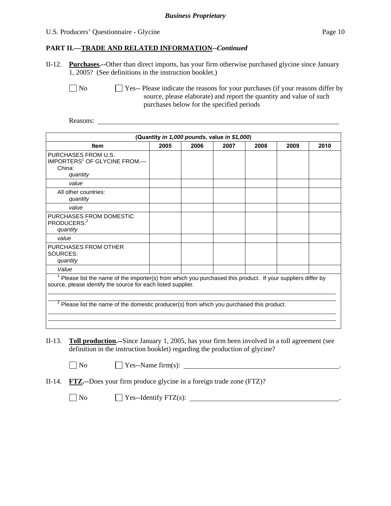#### U.S. Producers' Questionnaire - Glycine Page 10

### **PART II.—TRADE AND RELATED INFORMATION--***Continued*

II-12. **Purchases.--**Other than direct imports, has your firm otherwise purchased glycine since January 1, 2005? (See definitions in the instruction booklet.)

No Ses-- Please indicate the reasons for your purchases (if your reasons differ by source, please elaborate) and report the quantity and value of such purchases below for the specified periods

Reasons:

|                                                                                                                                                                                                                                                                                    | (Quantity in 1,000 pounds, value in \$1,000) |      |      |      |      |      |  |
|------------------------------------------------------------------------------------------------------------------------------------------------------------------------------------------------------------------------------------------------------------------------------------|----------------------------------------------|------|------|------|------|------|--|
| <b>Item</b>                                                                                                                                                                                                                                                                        | 2005                                         | 2006 | 2007 | 2008 | 2009 | 2010 |  |
| PURCHASES FROM U.S.<br>IMPORTERS <sup>1</sup> OF GLYCINE FROM.-<br>China:<br>quantity                                                                                                                                                                                              |                                              |      |      |      |      |      |  |
| value                                                                                                                                                                                                                                                                              |                                              |      |      |      |      |      |  |
| All other countries:<br>quantity                                                                                                                                                                                                                                                   |                                              |      |      |      |      |      |  |
| value                                                                                                                                                                                                                                                                              |                                              |      |      |      |      |      |  |
| PURCHASES FROM DOMESTIC<br>PRODUCERS: <sup>2</sup><br>quantity                                                                                                                                                                                                                     |                                              |      |      |      |      |      |  |
| value                                                                                                                                                                                                                                                                              |                                              |      |      |      |      |      |  |
| PURCHASES FROM OTHER<br>SOURCES:<br>quantity                                                                                                                                                                                                                                       |                                              |      |      |      |      |      |  |
| Value                                                                                                                                                                                                                                                                              |                                              |      |      |      |      |      |  |
| Please list the name of the importer(s) from which you purchased this product. If your suppliers differ by<br>source, please identify the source for each listed supplier.<br><sup>2</sup> Please list the name of the domestic producer(s) from which you purchased this product. |                                              |      |      |      |      |      |  |
|                                                                                                                                                                                                                                                                                    |                                              |      |      |      |      |      |  |

- II-13. **Toll production.--**Since January 1, 2005, has your firm been involved in a toll agreement (see definition in the instruction booklet) regarding the production of glycine?
	-
	- $\Box$  No  $\Box$  Yes--Name firm(s):
- II-14. **FTZ.--**Does your firm produce glycine in a foreign trade zone (FTZ)?

 $\Box$  No  $\Box$  Yes--Identify FTZ(s):  $\Box$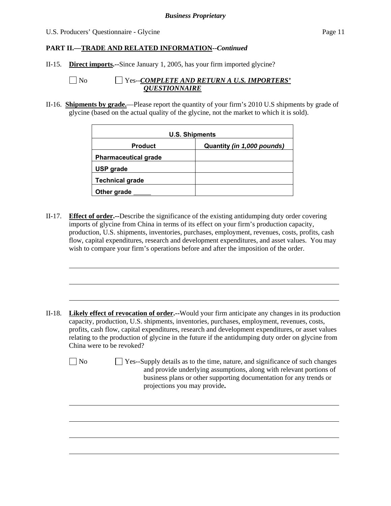#### U.S. Producers' Questionnaire - Glycine Page 11

### **PART II.—TRADE AND RELATED INFORMATION--***Continued*

- II-15. **Direct imports.--**Since January 1, 2005, has your firm imported glycine?
	-

l

l

### No Yes--*COMPLETE AND RETURN A U.S. IMPORTERS' QUESTIONNAIRE*

II-16. **Shipments by grade.**—Please report the quantity of your firm's 2010 U.S shipments by grade of glycine (based on the actual quality of the glycine, not the market to which it is sold).

| <b>U.S. Shipments</b>       |                            |  |  |  |  |
|-----------------------------|----------------------------|--|--|--|--|
| <b>Product</b>              | Quantity (in 1,000 pounds) |  |  |  |  |
| <b>Pharmaceutical grade</b> |                            |  |  |  |  |
| <b>USP</b> grade            |                            |  |  |  |  |
| <b>Technical grade</b>      |                            |  |  |  |  |
| Other grade                 |                            |  |  |  |  |

II-17. **Effect of order.--**Describe the significance of the existing antidumping duty order covering imports of glycine from China in terms of its effect on your firm's production capacity, production, U.S. shipments, inventories, purchases, employment, revenues, costs, profits, cash flow, capital expenditures, research and development expenditures, and asset values. You may wish to compare your firm's operations before and after the imposition of the order.

- II-18. **Likely effect of revocation of order.--**Would your firm anticipate any changes in its production capacity, production, U.S. shipments, inventories, purchases, employment, revenues, costs, profits, cash flow, capital expenditures, research and development expenditures, or asset values relating to the production of glycine in the future if the antidumping duty order on glycine from China were to be revoked?
	- No Yes--Supply details as to the time, nature, and significance of such changes and provide underlying assumptions, along with relevant portions of business plans or other supporting documentation for any trends or projections you may provide**.**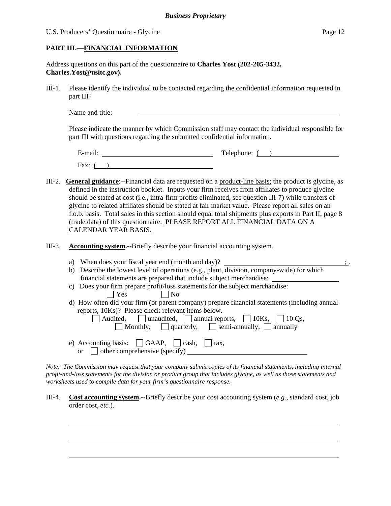#### U.S. Producers' Questionnaire - Glycine Page 12

 $\overline{a}$ 

### **PART III.—FINANCIAL INFORMATION**

Address questions on this part of the questionnaire to **Charles Yost (202-205-3432, Charles.Yost@usitc.gov).** 

III-1. Please identify the individual to be contacted regarding the confidential information requested in part III?

Name and title:

Please indicate the manner by which Commission staff may contact the individual responsible for part III with questions regarding the submitted confidential information.

E-mail: Telephone: ( ) Fax:  $($  )

- III-2. **General guidance**:--Financial data are requested on a product-line basis; the product is glycine, as defined in the instruction booklet. Inputs your firm receives from affiliates to produce glycine should be stated at cost (i.e., intra-firm profits eliminated, see question III-7) while transfers of glycine to related affiliates should be stated at fair market value. Please report all sales on an f.o.b. basis. Total sales in this section should equal total shipments plus exports in Part II, page 8 (trade data) of this questionnaire. PLEASE REPORT ALL FINANCIAL DATA ON A CALENDAR YEAR BASIS.
- III-3. **Accounting system.--**Briefly describe your financial accounting system.
	- a) When does your fiscal year end (month and day)?  $\frac{1}{2}$ b) Describe the lowest level of operations (e.g., plant, division, company-wide) for which financial statements are prepared that include subject merchandise: c) Does your firm prepare profit/loss statements for the subject merchandise:
		- $\Box$  Yes  $\Box$  No
		- d) How often did your firm (or parent company) prepare financial statements (including annual reports, 10Ks)? Please check relevant items below.

| Audited, unaudited, annual reports, $10Ks$ , $10Qs$ ,                   |  |
|-------------------------------------------------------------------------|--|
| $\Box$ Monthly, $\Box$ quarterly, $\Box$ semi-annually, $\Box$ annually |  |
|                                                                         |  |

e) Accounting basis:  $\Box$  GAAP,  $\Box$  cash,  $\Box$  tax, or  $\Box$  other comprehensive (specify)

*Note: The Commission may request that your company submit copies of its financial statements, including internal profit-and-loss statements for the division or product group that includes glycine, as well as those statements and worksheets used to compile data for your firm's questionnaire response.* 

III-4. **Cost accounting system.--**Briefly describe your cost accounting system (*e.g.*, standard cost, job order cost, *etc.*).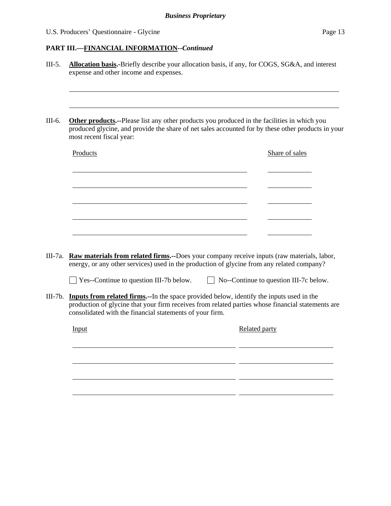U.S. Producers' Questionnaire - Glycine Page 13

### **PART III.—FINANCIAL INFORMATION--***Continued*

III-5. **Allocation basis.-**Briefly describe your allocation basis, if any, for COGS, SG&A, and interest expense and other income and expenses. l III-6. **Other products.--**Please list any other products you produced in the facilities in which you produced glycine, and provide the share of net sales accounted for by these other products in your most recent fiscal year: Products Share of sales l l l l <u> 1989 - Johann Stoff, amerikansk politiker (\* 1908)</u> l III-7a. **Raw materials from related firms.--**Does your company receive inputs (raw materials, labor, energy, or any other services) used in the production of glycine from any related company?  $\Box$  Yes--Continue to question III-7b below.  $\Box$  No--Continue to question III-7c below. III-7b. **Inputs from related firms.--**In the space provided below, identify the inputs used in the production of glycine that your firm receives from related parties whose financial statements are consolidated with the financial statements of your firm. Input Related party l <u> 1989 - Johann Harry Communication (b. 1989)</u> l <u> 1989 - Johann John Stone, mars eta biztanleria (</u> l  $\overline{a}$ l <u> 1989 - Johann Barnett, fransk politiker (d. 1989)</u>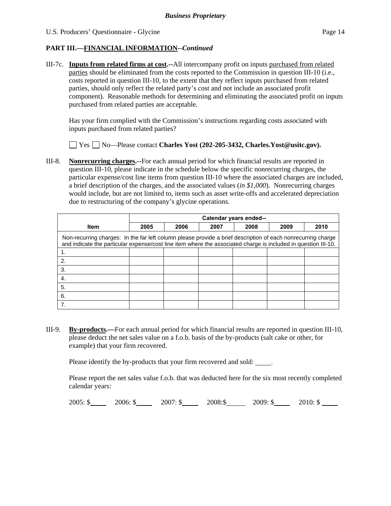## **PART III.—FINANCIAL INFORMATION--***Continued*

III-7c. **Inputs from related firms at cost.--**All intercompany profit on inputs purchased from related parties should be eliminated from the costs reported to the Commission in question III-10 (i.e., costs reported in question III-10, to the extent that they reflect inputs purchased from related parties, should only reflect the related party's cost and not include an associated profit component). Reasonable methods for determining and eliminating the associated profit on inputs purchased from related parties are acceptable.

 Has your firm complied with the Commission's instructions regarding costs associated with inputs purchased from related parties?

Yes No—Please contact **Charles Yost (202-205-3432, Charles.Yost@usitc.gov).** 

III-8. **Nonrecurring charges.--**For each annual period for which financial results are reported in question III-10, please indicate in the schedule below the specific nonrecurring charges, the particular expense/cost line items from question III-10 where the associated charges are included, a brief description of the charges, and the associated values (*in \$1,000*). Nonrecurring charges would include, but are not limited to, items such as asset write-offs and accelerated depreciation due to restructuring of the company's glycine operations.

|                                                                                                                                                                                                                                | Calendar years ended-- |      |      |      |      |      |  |  |
|--------------------------------------------------------------------------------------------------------------------------------------------------------------------------------------------------------------------------------|------------------------|------|------|------|------|------|--|--|
| <b>Item</b>                                                                                                                                                                                                                    | 2005                   | 2006 | 2007 | 2008 | 2009 | 2010 |  |  |
| Non-recurring charges: In the far left column please provide a brief description of each nonrecurring charge<br>and indicate the particular expense/cost line item where the associated charge is included in question III-10. |                        |      |      |      |      |      |  |  |
|                                                                                                                                                                                                                                |                        |      |      |      |      |      |  |  |
| 2.                                                                                                                                                                                                                             |                        |      |      |      |      |      |  |  |
| 3.                                                                                                                                                                                                                             |                        |      |      |      |      |      |  |  |
| 4.                                                                                                                                                                                                                             |                        |      |      |      |      |      |  |  |
| 5.                                                                                                                                                                                                                             |                        |      |      |      |      |      |  |  |
| 6.                                                                                                                                                                                                                             |                        |      |      |      |      |      |  |  |
|                                                                                                                                                                                                                                |                        |      |      |      |      |      |  |  |

III-9. **By-products.—**For each annual period for which financial results are reported in question III-10, please deduct the net sales value on a f.o.b. basis of the by-products (salt cake or other, for example) that your firm recovered.

Please identify the by-products that your firm recovered and sold: \_\_\_\_\_.

Please report the net sales value f.o.b. that was deducted here for the six most recently completed calendar years:

2005:  $\frac{\$}{2005}$ :  $\frac{\$}{2006}$ :  $\$$  2007:  $\$$  2008:  $\$$  2009:  $\$$  2010:  $\$$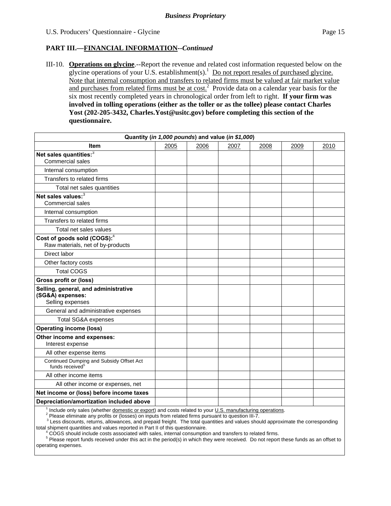## **PART III.—FINANCIAL INFORMATION--***Continued*

III-10. **Operations on glycine**.--Report the revenue and related cost information requested below on the glycine operations of your U.S. establishment(s).<sup>1</sup> Do not report resales of purchased glycine. Note that internal consumption and transfers to related firms must be valued at fair market value and purchases from related firms must be at  $\cosh^2$  Provide data on a calendar year basis for the six most recently completed years in chronological order from left to right. **If your firm was involved in tolling operations (either as the toller or as the tollee) please contact Charles Yost (202-205-3432, Charles.Yost@usitc.gov) before completing this section of the questionnaire.**

| Quantity (in 1,000 pounds) and value (in \$1,000)                            |      |      |      |      |      |      |
|------------------------------------------------------------------------------|------|------|------|------|------|------|
| Item                                                                         | 2005 | 2006 | 2007 | 2008 | 2009 | 2010 |
| Net sales quantities: <sup>3</sup><br><b>Commercial sales</b>                |      |      |      |      |      |      |
| Internal consumption                                                         |      |      |      |      |      |      |
| Transfers to related firms                                                   |      |      |      |      |      |      |
| Total net sales quantities                                                   |      |      |      |      |      |      |
| Net sales values: <sup>3</sup><br><b>Commercial sales</b>                    |      |      |      |      |      |      |
| Internal consumption                                                         |      |      |      |      |      |      |
| Transfers to related firms                                                   |      |      |      |      |      |      |
| Total net sales values                                                       |      |      |      |      |      |      |
| Cost of goods sold (COGS): <sup>4</sup><br>Raw materials, net of by-products |      |      |      |      |      |      |
| Direct labor                                                                 |      |      |      |      |      |      |
| Other factory costs                                                          |      |      |      |      |      |      |
| <b>Total COGS</b>                                                            |      |      |      |      |      |      |
| <b>Gross profit or (loss)</b>                                                |      |      |      |      |      |      |
| Selling, general, and administrative<br>(SG&A) expenses:<br>Selling expenses |      |      |      |      |      |      |
| General and administrative expenses                                          |      |      |      |      |      |      |
| Total SG&A expenses                                                          |      |      |      |      |      |      |
| <b>Operating income (loss)</b>                                               |      |      |      |      |      |      |
| Other income and expenses:<br>Interest expense                               |      |      |      |      |      |      |
| All other expense items                                                      |      |      |      |      |      |      |
| Continued Dumping and Subsidy Offset Act<br>funds received <sup>5</sup>      |      |      |      |      |      |      |
| All other income items                                                       |      |      |      |      |      |      |
| All other income or expenses, net                                            |      |      |      |      |      |      |
| Net income or (loss) before income taxes                                     |      |      |      |      |      |      |
| Depreciation/amortization included above                                     |      |      |      |      |      |      |
|                                                                              |      |      |      |      |      |      |

<sup>1</sup> Include only sales (whether <u>domestic or export</u>) and costs related to your <u>U.S. manufacturing operations</u>.<br><sup>2</sup> Please eliminate any arctite or (leases) as insute from related firms purpusat to guastics III.7

Please eliminate any profits or (losses) on inputs from related firms pursuant to question III-7.<br><sup>3</sup> Less discounts, returns, allowances, and prepaid freight. The total quantities and values should approximate the corresp total shipment quantities and values reported in Part II of this questionnaire. 4

<sup>4</sup> COGS should include costs associated with sales, internal consumption and transfers to related firms.

Please report funds received under this act in the period(s) in which they were received. Do not report these funds as an offset to operating expenses.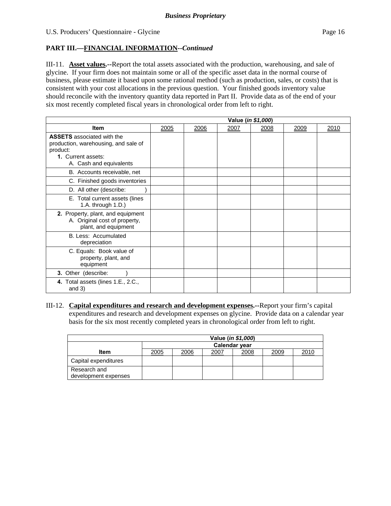## **PART III.—FINANCIAL INFORMATION--***Continued*

III-11. **Asset values.--**Report the total assets associated with the production, warehousing, and sale of glycine. If your firm does not maintain some or all of the specific asset data in the normal course of business, please estimate it based upon some rational method (such as production, sales, or costs) that is consistent with your cost allocations in the previous question. Your finished goods inventory value should reconcile with the inventory quantity data reported in Part II. Provide data as of the end of your six most recently completed fiscal years in chronological order from left to right.

|                                                                                                                                        | Value (in \$1,000) |      |      |      |      |      |
|----------------------------------------------------------------------------------------------------------------------------------------|--------------------|------|------|------|------|------|
| <b>Item</b>                                                                                                                            | 2005               | 2006 | 2007 | 2008 | 2009 | 2010 |
| <b>ASSETS</b> associated with the<br>production, warehousing, and sale of<br>product:<br>1. Current assets:<br>A. Cash and equivalents |                    |      |      |      |      |      |
| B. Accounts receivable, net                                                                                                            |                    |      |      |      |      |      |
| C. Finished goods inventories                                                                                                          |                    |      |      |      |      |      |
| D. All other (describe:                                                                                                                |                    |      |      |      |      |      |
| E. Total current assets (lines<br>1.A. through 1.D.)                                                                                   |                    |      |      |      |      |      |
| 2. Property, plant, and equipment<br>A. Original cost of property,<br>plant, and equipment                                             |                    |      |      |      |      |      |
| B. Less: Accumulated<br>depreciation                                                                                                   |                    |      |      |      |      |      |
| C. Equals: Book value of<br>property, plant, and<br>equipment                                                                          |                    |      |      |      |      |      |
| 3. Other (describe:                                                                                                                    |                    |      |      |      |      |      |
| 4. Total assets (lines 1.E., 2.C.,<br>and $3)$                                                                                         |                    |      |      |      |      |      |

III-12. **Capital expenditures and research and development expenses.--**Report your firm's capital expenditures and research and development expenses on glycine. Provide data on a calendar year basis for the six most recently completed years in chronological order from left to right.

|                                      | Value ( <i>in \$1,000</i> )                  |  |  |  |  |  |  |  |
|--------------------------------------|----------------------------------------------|--|--|--|--|--|--|--|
|                                      | <b>Calendar year</b>                         |  |  |  |  |  |  |  |
| Item                                 | 2005<br>2009<br>2010<br>2006<br>2008<br>2007 |  |  |  |  |  |  |  |
| Capital expenditures                 |                                              |  |  |  |  |  |  |  |
| Research and<br>development expenses |                                              |  |  |  |  |  |  |  |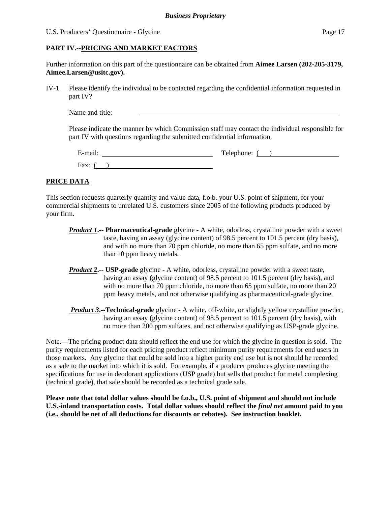#### U.S. Producers' Questionnaire - Glycine Page 17

### **PART IV.--PRICING AND MARKET FACTORS**

Further information on this part of the questionnaire can be obtained from **Aimee Larsen (202-205-3179, Aimee.Larsen@usitc.gov).** 

IV-1. Please identify the individual to be contacted regarding the confidential information requested in part IV?

Name and title:

Please indicate the manner by which Commission staff may contact the individual responsible for part IV with questions regarding the submitted confidential information.

| $\cdot$ $\cdot$<br>±-mail: | Telephone: |
|----------------------------|------------|
| Fax:                       |            |

## **PRICE DATA**

This section requests quarterly quantity and value data, f.o.b. your U.S. point of shipment, for your commercial shipments to unrelated U.S. customers since 2005 of the following products produced by your firm.

- *Product 1***.-- Pharmaceutical-grade** glycineA white, odorless, crystalline powder with a sweet taste, having an assay (glycine content) of 98.5 percent to 101.5 percent (dry basis), and with no more than 70 ppm chloride, no more than 65 ppm sulfate, and no more than 10 ppm heavy metals.
- *Product 2***.-- USP-grade** glycineA white, odorless, crystalline powder with a sweet taste, having an assay (glycine content) of 98.5 percent to 101.5 percent (dry basis), and with no more than 70 ppm chloride, no more than 65 ppm sulfate, no more than 20 ppm heavy metals, and not otherwise qualifying as pharmaceutical-grade glycine.
- *Product 3***.--Technical-grade** glycine **-** A white, off-white, or slightly yellow crystalline powder, having an assay (glycine content) of 98.5 percent to 101.5 percent (dry basis), with no more than 200 ppm sulfates, and not otherwise qualifying as USP-grade glycine.

Note.—The pricing product data should reflect the end use for which the glycine in question is sold. The purity requirements listed for each pricing product reflect minimum purity requirements for end users in those markets. Any glycine that could be sold into a higher purity end use but is not should be recorded as a sale to the market into which it is sold. For example, if a producer produces glycine meeting the specifications for use in deodorant applications (USP grade) but sells that product for metal complexing (technical grade), that sale should be recorded as a technical grade sale.

**Please note that total dollar values should be f.o.b., U.S. point of shipment and should not include U.S.-inland transportation costs. Total dollar values should reflect the** *final net* **amount paid to you (i.e., should be net of all deductions for discounts or rebates). See instruction booklet.**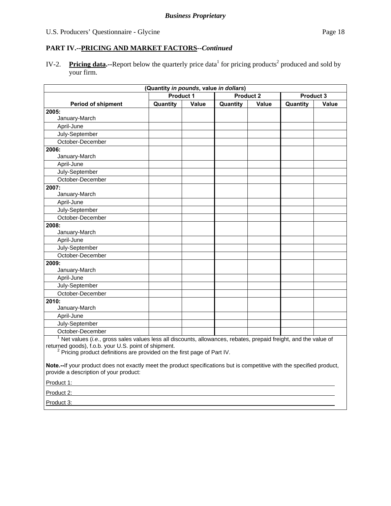IV-2. Pricing data.--Report below the quarterly price data<sup>1</sup> for pricing products<sup>2</sup> produced and sold by your firm.

| (Quantity in pounds, value in dollars)                                                                                    |          |                  |          |                               |          |       |  |
|---------------------------------------------------------------------------------------------------------------------------|----------|------------------|----------|-------------------------------|----------|-------|--|
|                                                                                                                           |          | <b>Product 1</b> |          | <b>Product 2</b><br>Product 3 |          |       |  |
| <b>Period of shipment</b>                                                                                                 | Quantity | Value            | Quantity | Value                         | Quantity | Value |  |
| 2005:                                                                                                                     |          |                  |          |                               |          |       |  |
| January-March                                                                                                             |          |                  |          |                               |          |       |  |
| April-June                                                                                                                |          |                  |          |                               |          |       |  |
| July-September                                                                                                            |          |                  |          |                               |          |       |  |
| October-December                                                                                                          |          |                  |          |                               |          |       |  |
| 2006:                                                                                                                     |          |                  |          |                               |          |       |  |
| January-March                                                                                                             |          |                  |          |                               |          |       |  |
| April-June                                                                                                                |          |                  |          |                               |          |       |  |
| July-September                                                                                                            |          |                  |          |                               |          |       |  |
| October-December                                                                                                          |          |                  |          |                               |          |       |  |
| 2007:                                                                                                                     |          |                  |          |                               |          |       |  |
| January-March                                                                                                             |          |                  |          |                               |          |       |  |
| April-June                                                                                                                |          |                  |          |                               |          |       |  |
| July-September                                                                                                            |          |                  |          |                               |          |       |  |
| October-December                                                                                                          |          |                  |          |                               |          |       |  |
| 2008:                                                                                                                     |          |                  |          |                               |          |       |  |
| January-March                                                                                                             |          |                  |          |                               |          |       |  |
| April-June                                                                                                                |          |                  |          |                               |          |       |  |
| July-September                                                                                                            |          |                  |          |                               |          |       |  |
| October-December                                                                                                          |          |                  |          |                               |          |       |  |
| 2009:                                                                                                                     |          |                  |          |                               |          |       |  |
| January-March                                                                                                             |          |                  |          |                               |          |       |  |
| April-June                                                                                                                |          |                  |          |                               |          |       |  |
| July-September                                                                                                            |          |                  |          |                               |          |       |  |
| October-December                                                                                                          |          |                  |          |                               |          |       |  |
| 2010:                                                                                                                     |          |                  |          |                               |          |       |  |
| January-March                                                                                                             |          |                  |          |                               |          |       |  |
| April-June                                                                                                                |          |                  |          |                               |          |       |  |
| July-September                                                                                                            |          |                  |          |                               |          |       |  |
| October-December                                                                                                          |          |                  |          |                               |          |       |  |
| $\frac{1}{1}$ Net values (i.e. gross sales values less all discounts allowances rebates prepaid froight, and the value of |          |                  |          |                               |          |       |  |

 Net values (*i.e.*, gross sales values less all discounts, allowances, rebates, prepaid freight, and the value of returned goods), f.o.b. your U.S. point of shipment.<br><sup>2</sup> Pricing product definitions are provided on the first page of Part IV.

**Note.--**If your product does not exactly meet the product specifications but is competitive with the specified product, provide a description of your product:

Product 1:

Product 2:

Product 3: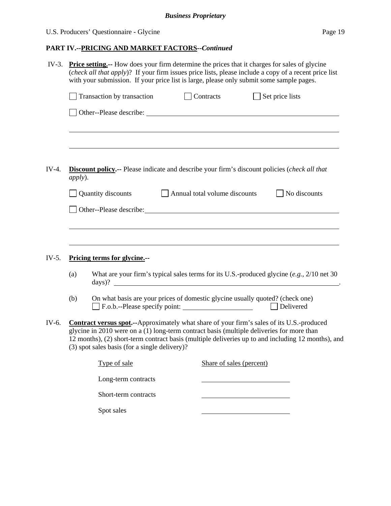# U.S. Producers' Questionnaire - Glycine Page 19

# **PART IV.--PRICING AND MARKET FACTORS***--Continued*

| $IV-3.$ | <b>Price setting.</b> -- How does your firm determine the prices that it charges for sales of glycine<br>( <i>check all that apply</i> )? If your firm issues price lists, please include a copy of a recent price list<br>with your submission. If your price list is large, please only submit some sample pages.                                   |                                                                                                                                       |  |                               |                                                                                  |                     |  |  |
|---------|-------------------------------------------------------------------------------------------------------------------------------------------------------------------------------------------------------------------------------------------------------------------------------------------------------------------------------------------------------|---------------------------------------------------------------------------------------------------------------------------------------|--|-------------------------------|----------------------------------------------------------------------------------|---------------------|--|--|
|         |                                                                                                                                                                                                                                                                                                                                                       | Transaction by transaction                                                                                                            |  | Contracts                     | $\Box$ Set price lists                                                           |                     |  |  |
|         |                                                                                                                                                                                                                                                                                                                                                       |                                                                                                                                       |  |                               | ,我们也不会有什么。""我们的人,我们也不会有什么?""我们的人,我们也不会有什么?""我们的人,我们也不会有什么?""我们的人,我们也不会有什么?""我们的人 |                     |  |  |
| $IV-4.$ | <i>apply</i> ).                                                                                                                                                                                                                                                                                                                                       | Discount policy.-- Please indicate and describe your firm's discount policies (check all that                                         |  |                               |                                                                                  |                     |  |  |
|         |                                                                                                                                                                                                                                                                                                                                                       | Quantity discounts                                                                                                                    |  | Annual total volume discounts |                                                                                  | $\Box$ No discounts |  |  |
|         |                                                                                                                                                                                                                                                                                                                                                       |                                                                                                                                       |  |                               |                                                                                  |                     |  |  |
| $IV-5.$ | (a)                                                                                                                                                                                                                                                                                                                                                   | Pricing terms for glycine.--<br>What are your firm's typical sales terms for its U.S.-produced glycine $(e.g., 2/10$ net 30<br>days)? |  |                               |                                                                                  |                     |  |  |
|         | (b)                                                                                                                                                                                                                                                                                                                                                   | On what basis are your prices of domestic glycine usually quoted? (check one)<br>F.o.b.--Please specify point:                        |  |                               |                                                                                  | Delivered           |  |  |
| IV-6.   | <b>Contract versus spot.</b> --Approximately what share of your firm's sales of its U.S.-produced<br>glycine in 2010 were on a (1) long-term contract basis (multiple deliveries for more than<br>12 months), (2) short-term contract basis (multiple deliveries up to and including 12 months), and<br>(3) spot sales basis (for a single delivery)? |                                                                                                                                       |  |                               |                                                                                  |                     |  |  |
|         |                                                                                                                                                                                                                                                                                                                                                       | Type of sale                                                                                                                          |  | Share of sales (percent)      |                                                                                  |                     |  |  |
|         |                                                                                                                                                                                                                                                                                                                                                       | Long-term contracts                                                                                                                   |  |                               |                                                                                  |                     |  |  |
|         |                                                                                                                                                                                                                                                                                                                                                       | Short-term contracts                                                                                                                  |  |                               |                                                                                  |                     |  |  |
|         |                                                                                                                                                                                                                                                                                                                                                       | Spot sales                                                                                                                            |  |                               |                                                                                  |                     |  |  |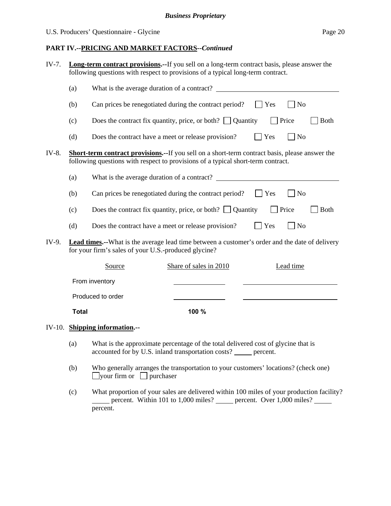| IV-7. |              | <b>Long-term contract provisions.</b> --If you sell on a long-term contract basis, please answer the<br>following questions with respect to provisions of a typical long-term contract.    |  |                                                                 |  |            |              |           |             |
|-------|--------------|--------------------------------------------------------------------------------------------------------------------------------------------------------------------------------------------|--|-----------------------------------------------------------------|--|------------|--------------|-----------|-------------|
|       | (a)          |                                                                                                                                                                                            |  |                                                                 |  |            |              |           |             |
|       | (b)          |                                                                                                                                                                                            |  | Can prices be renegotiated during the contract period?          |  | <b>Yes</b> |              | $\Box$ No |             |
|       | (c)          |                                                                                                                                                                                            |  | Does the contract fix quantity, price, or both? $\Box$ Quantity |  |            | $\Box$ Price |           | <b>Both</b> |
|       | (d)          |                                                                                                                                                                                            |  | Does the contract have a meet or release provision?             |  | $\Box$ Yes |              | $\Box$ No |             |
| IV-8. |              | <b>Short-term contract provisions.--</b> If you sell on a short-term contract basis, please answer the<br>following questions with respect to provisions of a typical short-term contract. |  |                                                                 |  |            |              |           |             |
|       | (a)          |                                                                                                                                                                                            |  | What is the average duration of a contract?                     |  |            |              |           |             |
|       | (b)          |                                                                                                                                                                                            |  | Can prices be renegotiated during the contract period?          |  | <b>Yes</b> |              | $ $ No    |             |
|       | (c)          |                                                                                                                                                                                            |  | Does the contract fix quantity, price, or both? $\Box$ Quantity |  |            | <b>Price</b> |           | <b>Both</b> |
|       | (d)          |                                                                                                                                                                                            |  | Does the contract have a meet or release provision?             |  | $\Box$ Yes |              | $\neg$ No |             |
| IV-9. |              | <b>Lead times.</b> --What is the average lead time between a customer's order and the date of delivery<br>for your firm's sales of your U.S.-produced glycine?                             |  |                                                                 |  |            |              |           |             |
|       |              | Source                                                                                                                                                                                     |  | Share of sales in 2010                                          |  |            |              | Lead time |             |
|       |              | From inventory                                                                                                                                                                             |  |                                                                 |  |            |              |           |             |
|       |              | Produced to order                                                                                                                                                                          |  |                                                                 |  |            |              |           |             |
|       | <b>Total</b> |                                                                                                                                                                                            |  | 100 %                                                           |  |            |              |           |             |
|       |              | IV-10. Shipping information.--                                                                                                                                                             |  |                                                                 |  |            |              |           |             |
|       |              | (a) What is the summarized noncentron of the total delivered seat of algebra that is                                                                                                       |  |                                                                 |  |            |              |           |             |

- (a) What is the approximate percentage of the total delivered cost of glycine that is accounted for by U.S. inland transportation costs? \_\_\_\_\_ percent.
- (b) Who generally arranges the transportation to your customers' locations? (check one)  $\Box$ your firm or  $\Box$  purchaser
- (c) What proportion of your sales are delivered within 100 miles of your production facility? percent. Within 101 to 1,000 miles? percent. Over 1,000 miles? percent.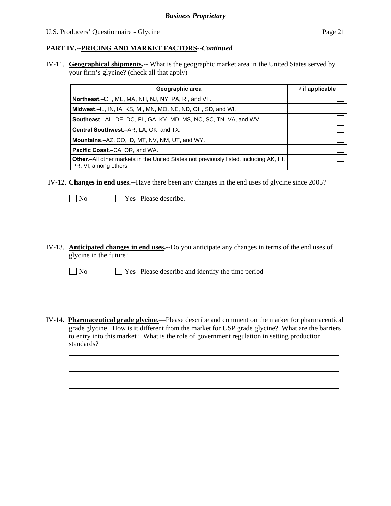IV-11. **Geographical shipments.--** What is the geographic market area in the United States served by your firm's glycine? (check all that apply)

| Geographic area                                                                                                         | $\sqrt{ }$ if applicable |
|-------------------------------------------------------------------------------------------------------------------------|--------------------------|
| <b>Northeast.</b> –CT, ME, MA, NH, NJ, NY, PA, RI, and VT.                                                              |                          |
| Midwest.-IL, IN, IA, KS, MI, MN, MO, NE, ND, OH, SD, and WI.                                                            |                          |
| <b>Southeast.–AL, DE, DC, FL, GA, KY, MD, MS, NC, SC, TN, VA, and WV.</b>                                               |                          |
| Central Southwest.-AR, LA, OK, and TX.                                                                                  |                          |
| <b>Mountains.-AZ, CO, ID, MT, NV, NM, UT, and WY.</b>                                                                   |                          |
| <b>Pacific Coast.–CA, OR, and WA.</b>                                                                                   |                          |
| <b>Other.</b> —All other markets in the United States not previously listed, including AK, HI,<br>PR, VI, among others. |                          |

- IV-12. **Changes in end uses.--**Have there been any changes in the end uses of glycine since 2005?
	- $\neg$  No  $\neg$  Yes--Please describe.

 $\overline{a}$ 

 $\overline{a}$ 

 $\overline{a}$ 

- IV-13. **Anticipated changes in end uses.--**Do you anticipate any changes in terms of the end uses of glycine in the future?
	- $\Box$  No  $\Box$  Yes--Please describe and identify the time period
- IV-14. **Pharmaceutical grade glycine.**—Please describe and comment on the market for pharmaceutical grade glycine. How is it different from the market for USP grade glycine? What are the barriers to entry into this market? What is the role of government regulation in setting production standards?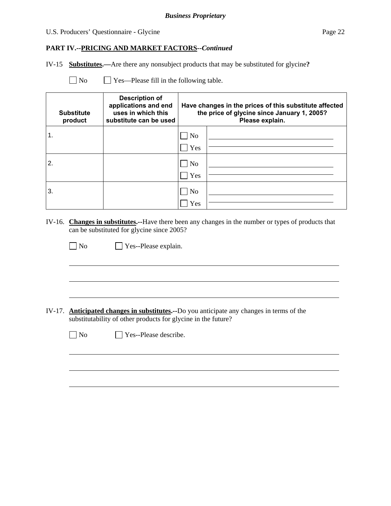## U.S. Producers' Questionnaire - Glycine Page 22

### **PART IV.--PRICING AND MARKET FACTORS***--Continued*

IV-15 **Substitutes.—**Are there any nonsubject products that may be substituted for glycine**?**

| N <sub>o</sub> | $\Box$ Yes—Please fill in the following table. |
|----------------|------------------------------------------------|
|----------------|------------------------------------------------|

| <b>Substitute</b><br>product | <b>Description of</b><br>applications and end<br>uses in which this<br>substitute can be used | Have changes in the prices of this substitute affected<br>the price of glycine since January 1, 2005?<br>Please explain. |  |
|------------------------------|-----------------------------------------------------------------------------------------------|--------------------------------------------------------------------------------------------------------------------------|--|
|                              |                                                                                               | No<br>Yes                                                                                                                |  |
| 2.                           |                                                                                               | ] No<br>Yes                                                                                                              |  |
| 3.                           |                                                                                               | N <sub>o</sub><br>Yes                                                                                                    |  |

IV-16. **Changes in substitutes.--**Have there been any changes in the number or types of products that can be substituted for glycine since 2005?

| $\Box$ No | $\Box$ Yes--Please explain. |
|-----------|-----------------------------|
|-----------|-----------------------------|

IV-17. **Anticipated changes in substitutes.--**Do you anticipate any changes in terms of the substitutability of other products for glycine in the future?

 $\overline{a}$ 

 $\overline{a}$ 

No  $\Box$  Yes--Please describe.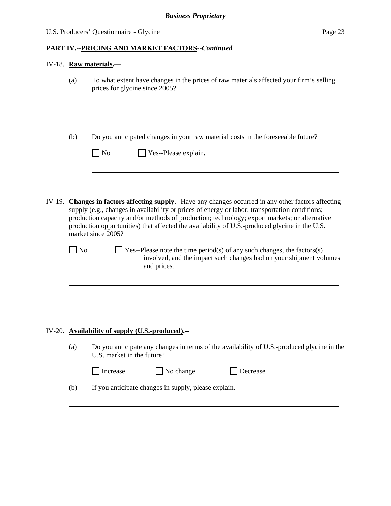## IV-18. **Raw materials.—**

|        | (a)                                                         | To what extent have changes in the prices of raw materials affected your firm's selling<br>prices for glycine since 2005?                                                                                                                                                                                                                                                                                                       |  |  |  |
|--------|-------------------------------------------------------------|---------------------------------------------------------------------------------------------------------------------------------------------------------------------------------------------------------------------------------------------------------------------------------------------------------------------------------------------------------------------------------------------------------------------------------|--|--|--|
|        | (b)                                                         | Do you anticipated changes in your raw material costs in the foreseeable future?                                                                                                                                                                                                                                                                                                                                                |  |  |  |
|        |                                                             | $\overline{N}$<br>Yes--Please explain.                                                                                                                                                                                                                                                                                                                                                                                          |  |  |  |
| IV-19. |                                                             | <b>Changes in factors affecting supply.</b> --Have any changes occurred in any other factors affecting<br>supply (e.g., changes in availability or prices of energy or labor; transportation conditions;<br>production capacity and/or methods of production; technology; export markets; or alternative<br>production opportunities) that affected the availability of U.S.-produced glycine in the U.S.<br>market since 2005? |  |  |  |
|        | No                                                          | Yes--Please note the time period(s) of any such changes, the factors(s)<br>involved, and the impact such changes had on your shipment volumes<br>and prices.                                                                                                                                                                                                                                                                    |  |  |  |
|        |                                                             | IV-20. Availability of supply (U.S.-produced).--                                                                                                                                                                                                                                                                                                                                                                                |  |  |  |
|        | (a)                                                         | Do you anticipate any changes in terms of the availability of U.S.-produced glycine in the<br>U.S. market in the future?                                                                                                                                                                                                                                                                                                        |  |  |  |
|        |                                                             | No change<br>Increase<br>Decrease                                                                                                                                                                                                                                                                                                                                                                                               |  |  |  |
|        | If you anticipate changes in supply, please explain.<br>(b) |                                                                                                                                                                                                                                                                                                                                                                                                                                 |  |  |  |
|        |                                                             |                                                                                                                                                                                                                                                                                                                                                                                                                                 |  |  |  |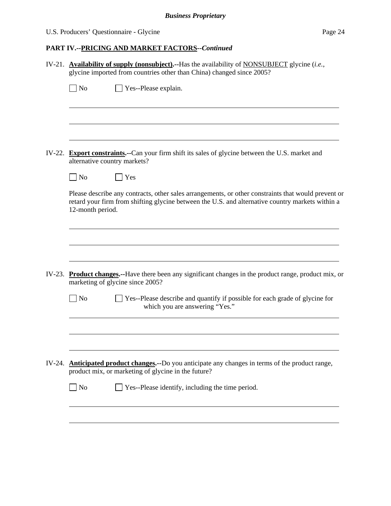## U.S. Producers' Questionnaire - Glycine Page 24

# **PART IV.--PRICING AND MARKET FACTORS***--Continued*

| IV-21. Availability of supply (nonsubject).--Has the availability of NONSUBJECT glycine (i.e.,<br>glycine imported from countries other than China) changed since 2005? |                                                                                                                                                                                                                             |  |  |  |  |
|-------------------------------------------------------------------------------------------------------------------------------------------------------------------------|-----------------------------------------------------------------------------------------------------------------------------------------------------------------------------------------------------------------------------|--|--|--|--|
|                                                                                                                                                                         | $\Box$ No<br>$\Box$ Yes--Please explain.                                                                                                                                                                                    |  |  |  |  |
|                                                                                                                                                                         |                                                                                                                                                                                                                             |  |  |  |  |
|                                                                                                                                                                         |                                                                                                                                                                                                                             |  |  |  |  |
|                                                                                                                                                                         | IV-22. Export constraints.--Can your firm shift its sales of glycine between the U.S. market and<br>alternative country markets?                                                                                            |  |  |  |  |
|                                                                                                                                                                         | $\Box$ No<br><b>Yes</b>                                                                                                                                                                                                     |  |  |  |  |
|                                                                                                                                                                         | Please describe any contracts, other sales arrangements, or other constraints that would prevent or<br>retard your firm from shifting glycine between the U.S. and alternative country markets within a<br>12-month period. |  |  |  |  |
|                                                                                                                                                                         |                                                                                                                                                                                                                             |  |  |  |  |
|                                                                                                                                                                         |                                                                                                                                                                                                                             |  |  |  |  |
|                                                                                                                                                                         | IV-23. Product changes.--Have there been any significant changes in the product range, product mix, or<br>marketing of glycine since 2005?                                                                                  |  |  |  |  |
|                                                                                                                                                                         | $\rfloor$ No<br>Yes--Please describe and quantify if possible for each grade of glycine for<br>which you are answering "Yes."                                                                                               |  |  |  |  |
|                                                                                                                                                                         |                                                                                                                                                                                                                             |  |  |  |  |
|                                                                                                                                                                         |                                                                                                                                                                                                                             |  |  |  |  |
|                                                                                                                                                                         | IV-24. <b>Anticipated product changes.</b> --Do you anticipate any changes in terms of the product range,<br>product mix, or marketing of glycine in the future?                                                            |  |  |  |  |
|                                                                                                                                                                         | $\exists$ No<br>Yes--Please identify, including the time period.                                                                                                                                                            |  |  |  |  |
|                                                                                                                                                                         |                                                                                                                                                                                                                             |  |  |  |  |
|                                                                                                                                                                         |                                                                                                                                                                                                                             |  |  |  |  |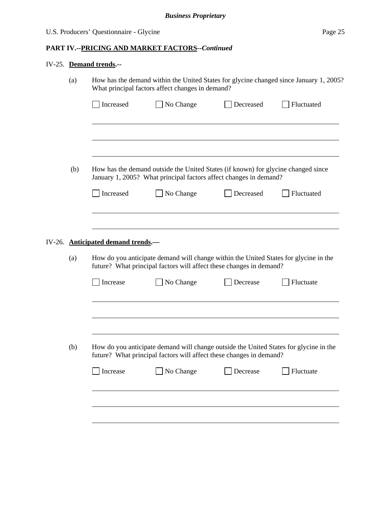## IV-25. **Demand trends.--**

| (a) |                                                                                                                                                              | What principal factors affect changes in demand?                                                                                                       |           | How has the demand within the United States for glycine changed since January 1, 2005? |  |
|-----|--------------------------------------------------------------------------------------------------------------------------------------------------------------|--------------------------------------------------------------------------------------------------------------------------------------------------------|-----------|----------------------------------------------------------------------------------------|--|
|     | Increased                                                                                                                                                    | No Change                                                                                                                                              | Decreased | Fluctuated                                                                             |  |
|     |                                                                                                                                                              |                                                                                                                                                        |           |                                                                                        |  |
| (b) |                                                                                                                                                              | How has the demand outside the United States (if known) for glycine changed since<br>January 1, 2005? What principal factors affect changes in demand? |           |                                                                                        |  |
|     | Increased                                                                                                                                                    | No Change                                                                                                                                              | Decreased | Fluctuated                                                                             |  |
|     |                                                                                                                                                              |                                                                                                                                                        |           |                                                                                        |  |
|     | IV-26. Anticipated demand trends.-                                                                                                                           |                                                                                                                                                        |           |                                                                                        |  |
| (a) | How do you anticipate demand will change within the United States for glycine in the<br>future? What principal factors will affect these changes in demand?  |                                                                                                                                                        |           |                                                                                        |  |
|     | Increase                                                                                                                                                     | No Change                                                                                                                                              | Decrease  | Fluctuate                                                                              |  |
|     |                                                                                                                                                              |                                                                                                                                                        |           |                                                                                        |  |
|     |                                                                                                                                                              |                                                                                                                                                        |           |                                                                                        |  |
| (b) | How do you anticipate demand will change outside the United States for glycine in the<br>future? What principal factors will affect these changes in demand? |                                                                                                                                                        |           |                                                                                        |  |
|     | Increase                                                                                                                                                     | No Change                                                                                                                                              | Decrease  | Fluctuate                                                                              |  |
|     |                                                                                                                                                              |                                                                                                                                                        |           |                                                                                        |  |
|     |                                                                                                                                                              |                                                                                                                                                        |           |                                                                                        |  |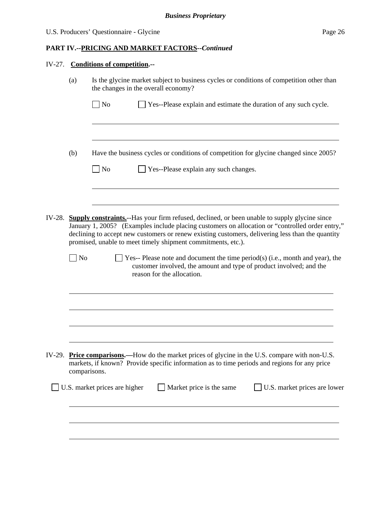| $IV-27$ .                                                                                                                                                                                                                                                                                                                                                                                                                                                                                                                                                             | <b>Conditions of competition.--</b> |                                                                                                                                                                                                 |  |  |  |  |
|-----------------------------------------------------------------------------------------------------------------------------------------------------------------------------------------------------------------------------------------------------------------------------------------------------------------------------------------------------------------------------------------------------------------------------------------------------------------------------------------------------------------------------------------------------------------------|-------------------------------------|-------------------------------------------------------------------------------------------------------------------------------------------------------------------------------------------------|--|--|--|--|
|                                                                                                                                                                                                                                                                                                                                                                                                                                                                                                                                                                       | (a)                                 | Is the glycine market subject to business cycles or conditions of competition other than<br>the changes in the overall economy?                                                                 |  |  |  |  |
|                                                                                                                                                                                                                                                                                                                                                                                                                                                                                                                                                                       |                                     | No<br>Yes--Please explain and estimate the duration of any such cycle.                                                                                                                          |  |  |  |  |
|                                                                                                                                                                                                                                                                                                                                                                                                                                                                                                                                                                       | (b)                                 | Have the business cycles or conditions of competition for glycine changed since 2005?<br>$\Box$ No<br>Yes--Please explain any such changes.                                                     |  |  |  |  |
|                                                                                                                                                                                                                                                                                                                                                                                                                                                                                                                                                                       |                                     |                                                                                                                                                                                                 |  |  |  |  |
| IV-28. Supply constraints.-Has your firm refused, declined, or been unable to supply glycine since<br>January 1, 2005? (Examples include placing customers on allocation or "controlled order entry,"<br>declining to accept new customers or renew existing customers, delivering less than the quantity<br>promised, unable to meet timely shipment commitments, etc.).<br>No<br>Yes-- Please note and document the time period(s) (i.e., month and year), the<br>customer involved, the amount and type of product involved; and the<br>reason for the allocation. |                                     |                                                                                                                                                                                                 |  |  |  |  |
|                                                                                                                                                                                                                                                                                                                                                                                                                                                                                                                                                                       |                                     |                                                                                                                                                                                                 |  |  |  |  |
|                                                                                                                                                                                                                                                                                                                                                                                                                                                                                                                                                                       |                                     |                                                                                                                                                                                                 |  |  |  |  |
|                                                                                                                                                                                                                                                                                                                                                                                                                                                                                                                                                                       | comparisons.                        | IV-29. Price comparisons.—How do the market prices of glycine in the U.S. compare with non-U.S.<br>markets, if known? Provide specific information as to time periods and regions for any price |  |  |  |  |
|                                                                                                                                                                                                                                                                                                                                                                                                                                                                                                                                                                       |                                     | U.S. market prices are higher<br>Market price is the same<br>U.S. market prices are lower                                                                                                       |  |  |  |  |
|                                                                                                                                                                                                                                                                                                                                                                                                                                                                                                                                                                       |                                     |                                                                                                                                                                                                 |  |  |  |  |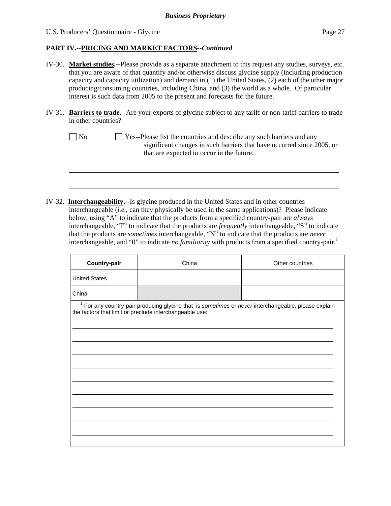l

## **PART IV.--PRICING AND MARKET FACTORS***--Continued*

- IV-30. **Market studies.--**Please provide as a separate attachment to this request any studies, surveys, etc. that you are aware of that quantify and/or otherwise discuss glycine supply (including production capacity and capacity utilization) and demand in (1) the United States, (2) each of the other major producing/consuming countries, including China, and (3) the world as a whole. Of particular interest is such data from 2005 to the present and forecasts for the future.
- IV-31. **Barriers to trade.--**Are your exports of glycine subject to any tariff or non-tariff barriers to trade in other countries?
	- No Ses--Please list the countries and describe any such barriers and any significant changes in such barriers that have occurred since 2005, or that are expected to occur in the future.
- IV-32. **Interchangeability.--**Is glycine produced in the United States and in other countries interchangeable (*i.e.*, can they physically be used in the same applications)? Please indicate below, using "A" to indicate that the products from a specified country-pair are *always* interchangeable, "F" to indicate that the products are *frequently* interchangeable, "S" to indicate that the products are *sometimes* interchangeable, "N" to indicate that the products are *never* interchangeable, and "0" to indicate *no familiarity* with products from a specified country-pair.<sup>1</sup>

| Country-pair         | China                                                                                                                                                                     | Other countries |  |  |  |  |  |
|----------------------|---------------------------------------------------------------------------------------------------------------------------------------------------------------------------|-----------------|--|--|--|--|--|
| <b>United States</b> |                                                                                                                                                                           |                 |  |  |  |  |  |
| China                |                                                                                                                                                                           |                 |  |  |  |  |  |
|                      | <sup>1</sup> For any country-pair producing glycine that is sometimes or never interchangeable, please explain<br>the factors that limit or preclude interchangeable use: |                 |  |  |  |  |  |
|                      |                                                                                                                                                                           |                 |  |  |  |  |  |
|                      |                                                                                                                                                                           |                 |  |  |  |  |  |
|                      |                                                                                                                                                                           |                 |  |  |  |  |  |
|                      |                                                                                                                                                                           |                 |  |  |  |  |  |
|                      |                                                                                                                                                                           |                 |  |  |  |  |  |
|                      |                                                                                                                                                                           |                 |  |  |  |  |  |
|                      |                                                                                                                                                                           |                 |  |  |  |  |  |